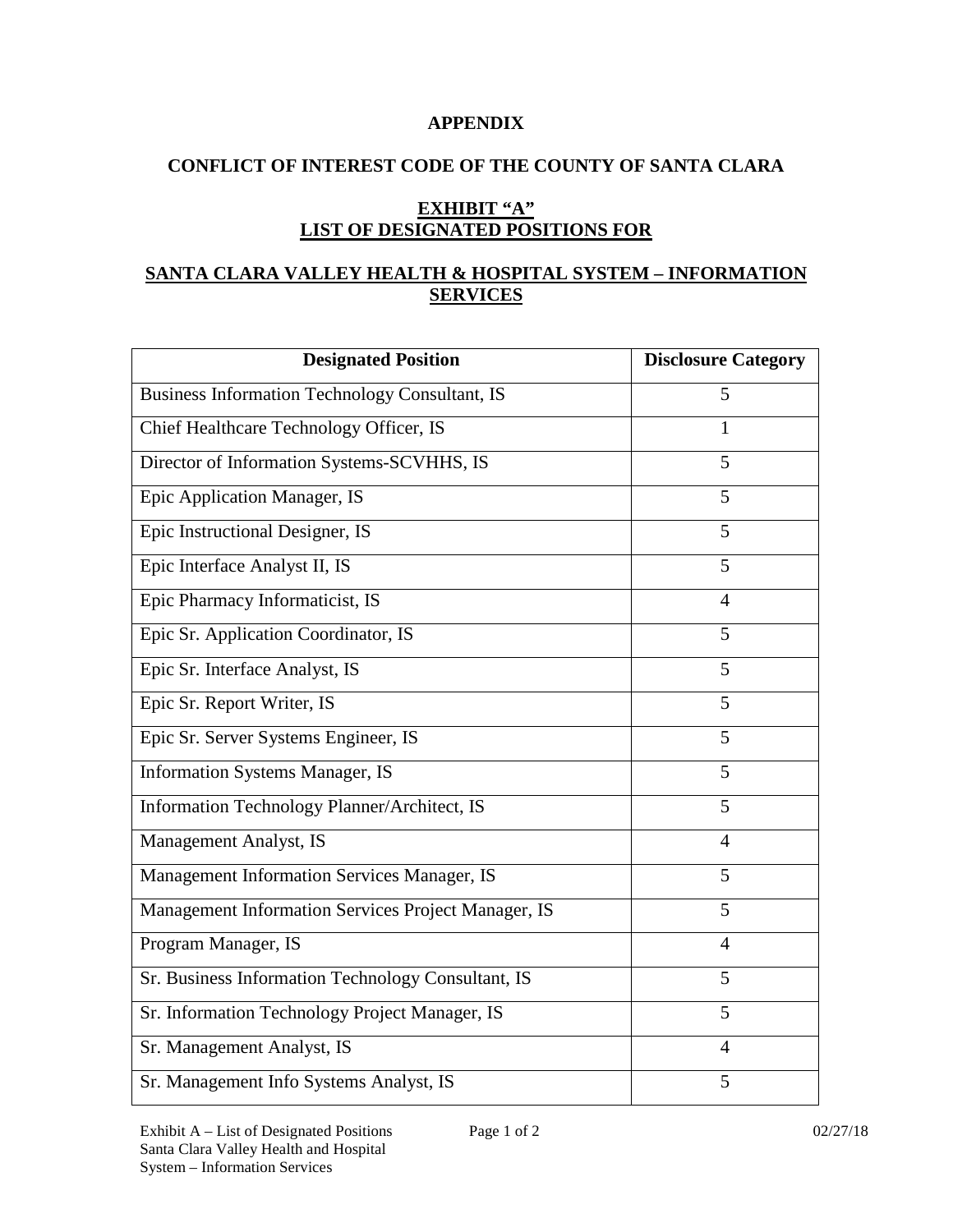#### **APPENDIX**

# **CONFLICT OF INTEREST CODE OF THE COUNTY OF SANTA CLARA**

# **EXHIBIT "A" LIST OF DESIGNATED POSITIONS FOR**

# **SANTA CLARA VALLEY HEALTH & HOSPITAL SYSTEM – INFORMATION SERVICES**

| <b>Designated Position</b>                            | <b>Disclosure Category</b> |
|-------------------------------------------------------|----------------------------|
| <b>Business Information Technology Consultant, IS</b> | 5                          |
| Chief Healthcare Technology Officer, IS               | 1                          |
| Director of Information Systems-SCVHHS, IS            | 5                          |
| Epic Application Manager, IS                          | 5                          |
| Epic Instructional Designer, IS                       | 5                          |
| Epic Interface Analyst II, IS                         | $\overline{5}$             |
| Epic Pharmacy Informaticist, IS                       | $\overline{4}$             |
| Epic Sr. Application Coordinator, IS                  | 5                          |
| Epic Sr. Interface Analyst, IS                        | 5                          |
| Epic Sr. Report Writer, IS                            | 5                          |
| Epic Sr. Server Systems Engineer, IS                  | 5                          |
| <b>Information Systems Manager, IS</b>                | 5                          |
| Information Technology Planner/Architect, IS          | 5                          |
| Management Analyst, IS                                | $\overline{4}$             |
| Management Information Services Manager, IS           | 5                          |
| Management Information Services Project Manager, IS   | 5                          |
| Program Manager, IS                                   | $\overline{4}$             |
| Sr. Business Information Technology Consultant, IS    | 5                          |
| Sr. Information Technology Project Manager, IS        | 5                          |
| Sr. Management Analyst, IS                            | $\overline{4}$             |
| Sr. Management Info Systems Analyst, IS               | 5                          |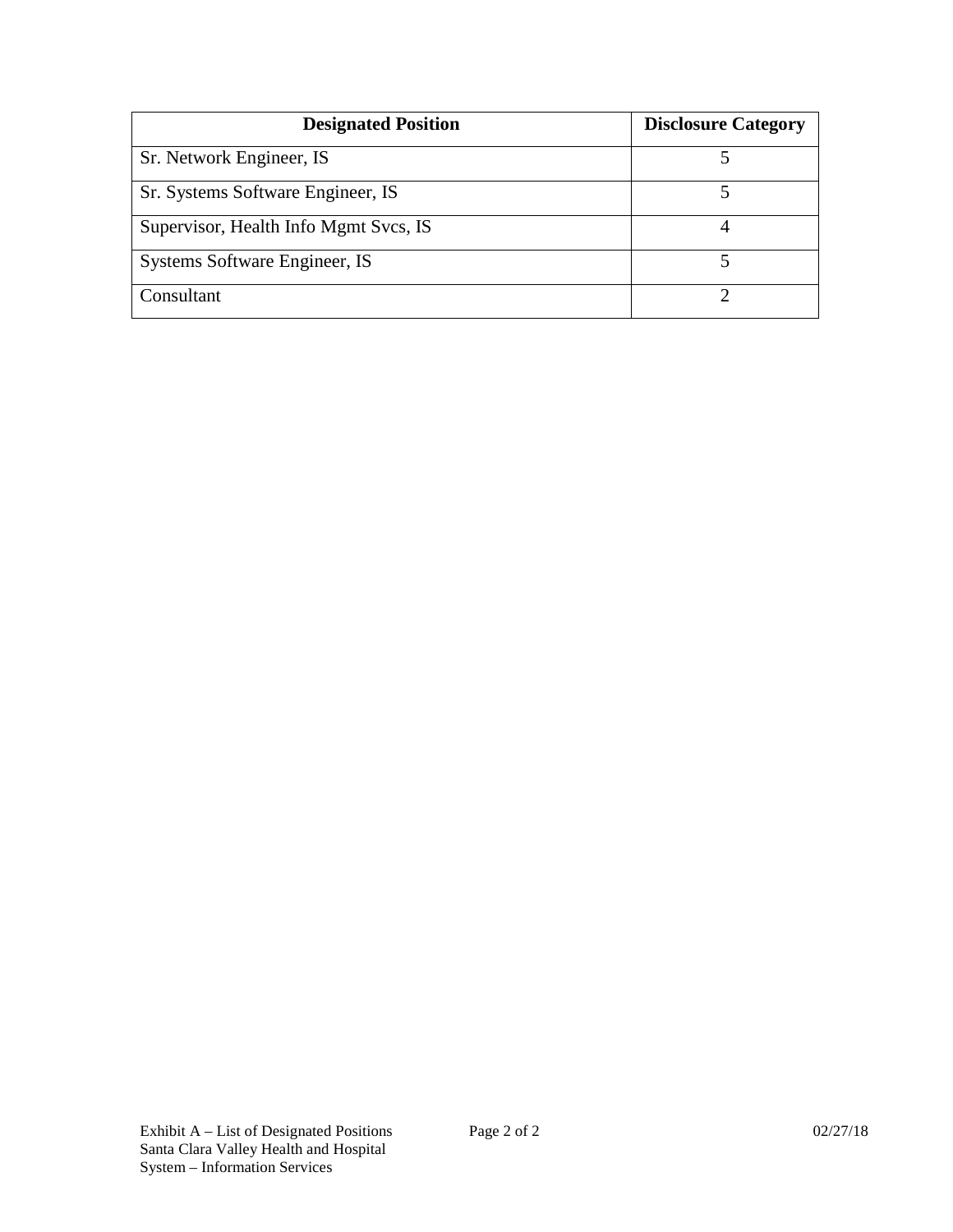| <b>Designated Position</b>            | <b>Disclosure Category</b> |
|---------------------------------------|----------------------------|
| Sr. Network Engineer, IS              |                            |
| Sr. Systems Software Engineer, IS     |                            |
| Supervisor, Health Info Mgmt Svcs, IS |                            |
| Systems Software Engineer, IS         |                            |
| Consultant                            |                            |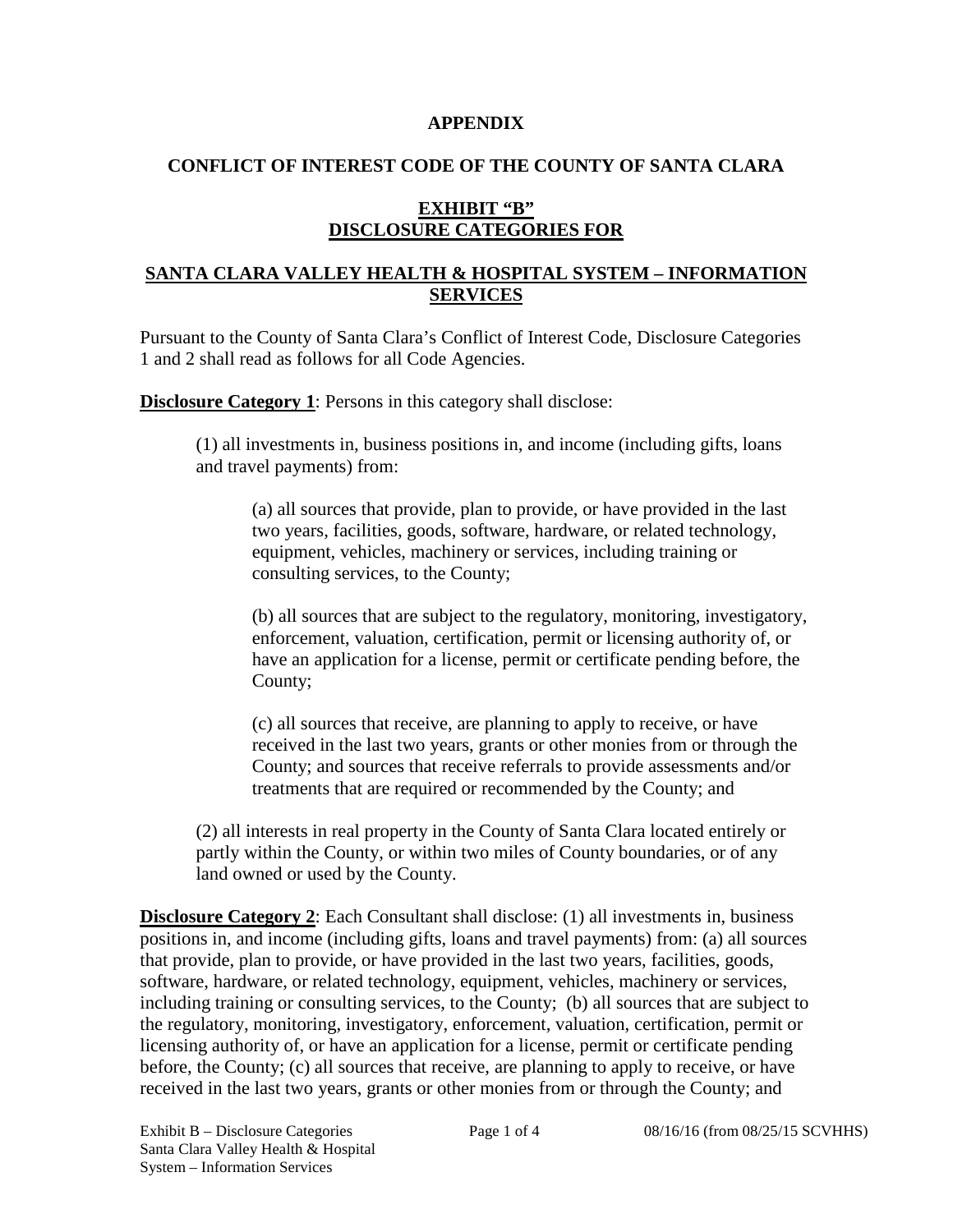#### **APPENDIX**

### **CONFLICT OF INTEREST CODE OF THE COUNTY OF SANTA CLARA**

# **EXHIBIT "B" DISCLOSURE CATEGORIES FOR**

#### **SANTA CLARA VALLEY HEALTH & HOSPITAL SYSTEM – INFORMATION SERVICES**

Pursuant to the County of Santa Clara's Conflict of Interest Code, Disclosure Categories 1 and 2 shall read as follows for all Code Agencies.

**Disclosure Category 1:** Persons in this category shall disclose:

(1) all investments in, business positions in, and income (including gifts, loans and travel payments) from:

(a) all sources that provide, plan to provide, or have provided in the last two years, facilities, goods, software, hardware, or related technology, equipment, vehicles, machinery or services, including training or consulting services, to the County;

(b) all sources that are subject to the regulatory, monitoring, investigatory, enforcement, valuation, certification, permit or licensing authority of, or have an application for a license, permit or certificate pending before, the County;

(c) all sources that receive, are planning to apply to receive, or have received in the last two years, grants or other monies from or through the County; and sources that receive referrals to provide assessments and/or treatments that are required or recommended by the County; and

(2) all interests in real property in the County of Santa Clara located entirely or partly within the County, or within two miles of County boundaries, or of any land owned or used by the County.

**Disclosure Category 2:** Each Consultant shall disclose: (1) all investments in, business positions in, and income (including gifts, loans and travel payments) from: (a) all sources that provide, plan to provide, or have provided in the last two years, facilities, goods, software, hardware, or related technology, equipment, vehicles, machinery or services, including training or consulting services, to the County; (b) all sources that are subject to the regulatory, monitoring, investigatory, enforcement, valuation, certification, permit or licensing authority of, or have an application for a license, permit or certificate pending before, the County; (c) all sources that receive, are planning to apply to receive, or have received in the last two years, grants or other monies from or through the County; and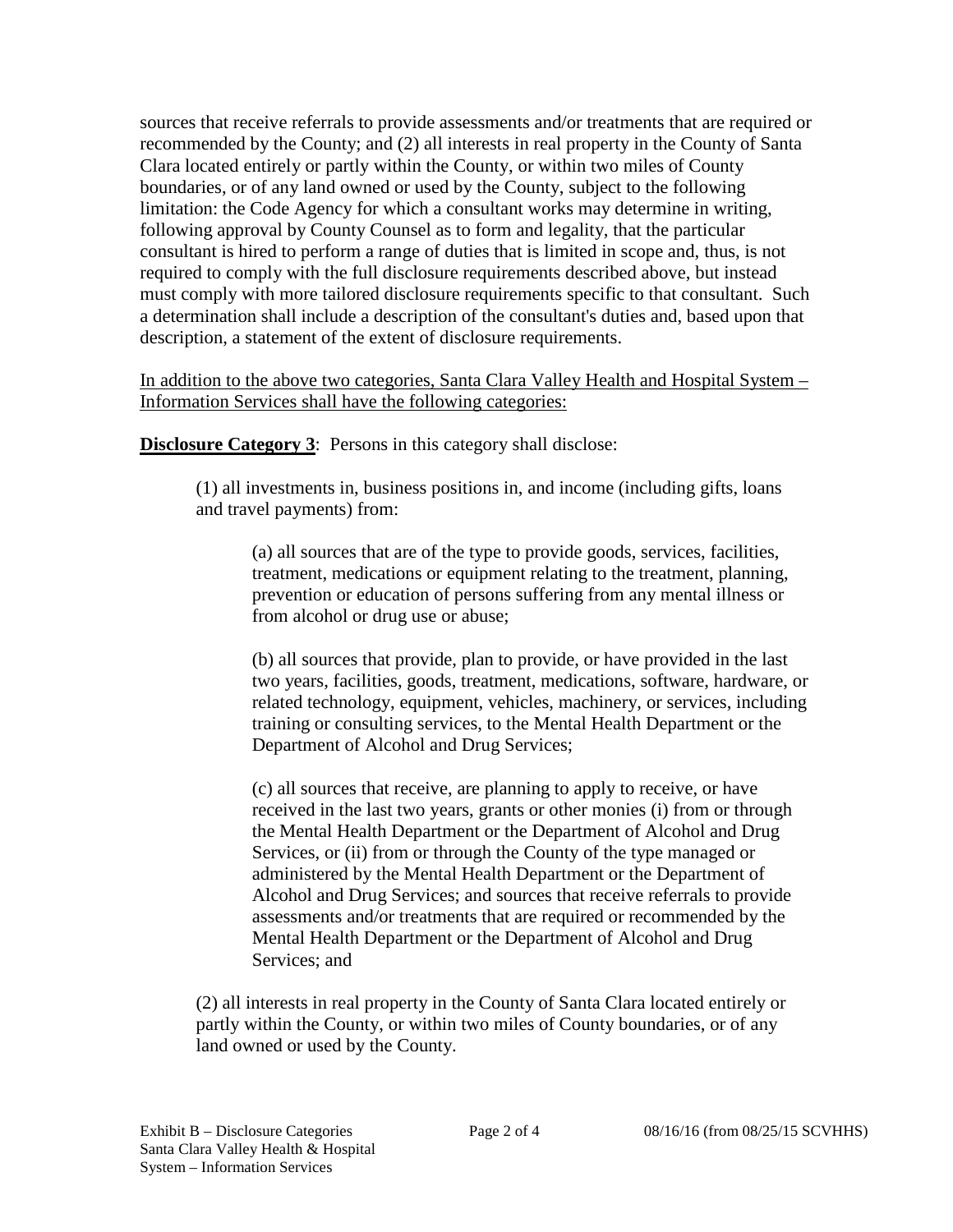sources that receive referrals to provide assessments and/or treatments that are required or recommended by the County; and (2) all interests in real property in the County of Santa Clara located entirely or partly within the County, or within two miles of County boundaries, or of any land owned or used by the County, subject to the following limitation: the Code Agency for which a consultant works may determine in writing, following approval by County Counsel as to form and legality, that the particular consultant is hired to perform a range of duties that is limited in scope and, thus, is not required to comply with the full disclosure requirements described above, but instead must comply with more tailored disclosure requirements specific to that consultant. Such a determination shall include a description of the consultant's duties and, based upon that description, a statement of the extent of disclosure requirements.

In addition to the above two categories, Santa Clara Valley Health and Hospital System – Information Services shall have the following categories:

**Disclosure Category 3:** Persons in this category shall disclose:

(1) all investments in, business positions in, and income (including gifts, loans and travel payments) from:

(a) all sources that are of the type to provide goods, services, facilities, treatment, medications or equipment relating to the treatment, planning, prevention or education of persons suffering from any mental illness or from alcohol or drug use or abuse;

(b) all sources that provide, plan to provide, or have provided in the last two years, facilities, goods, treatment, medications, software, hardware, or related technology, equipment, vehicles, machinery, or services, including training or consulting services, to the Mental Health Department or the Department of Alcohol and Drug Services;

(c) all sources that receive, are planning to apply to receive, or have received in the last two years, grants or other monies (i) from or through the Mental Health Department or the Department of Alcohol and Drug Services, or (ii) from or through the County of the type managed or administered by the Mental Health Department or the Department of Alcohol and Drug Services; and sources that receive referrals to provide assessments and/or treatments that are required or recommended by the Mental Health Department or the Department of Alcohol and Drug Services; and

(2) all interests in real property in the County of Santa Clara located entirely or partly within the County, or within two miles of County boundaries, or of any land owned or used by the County.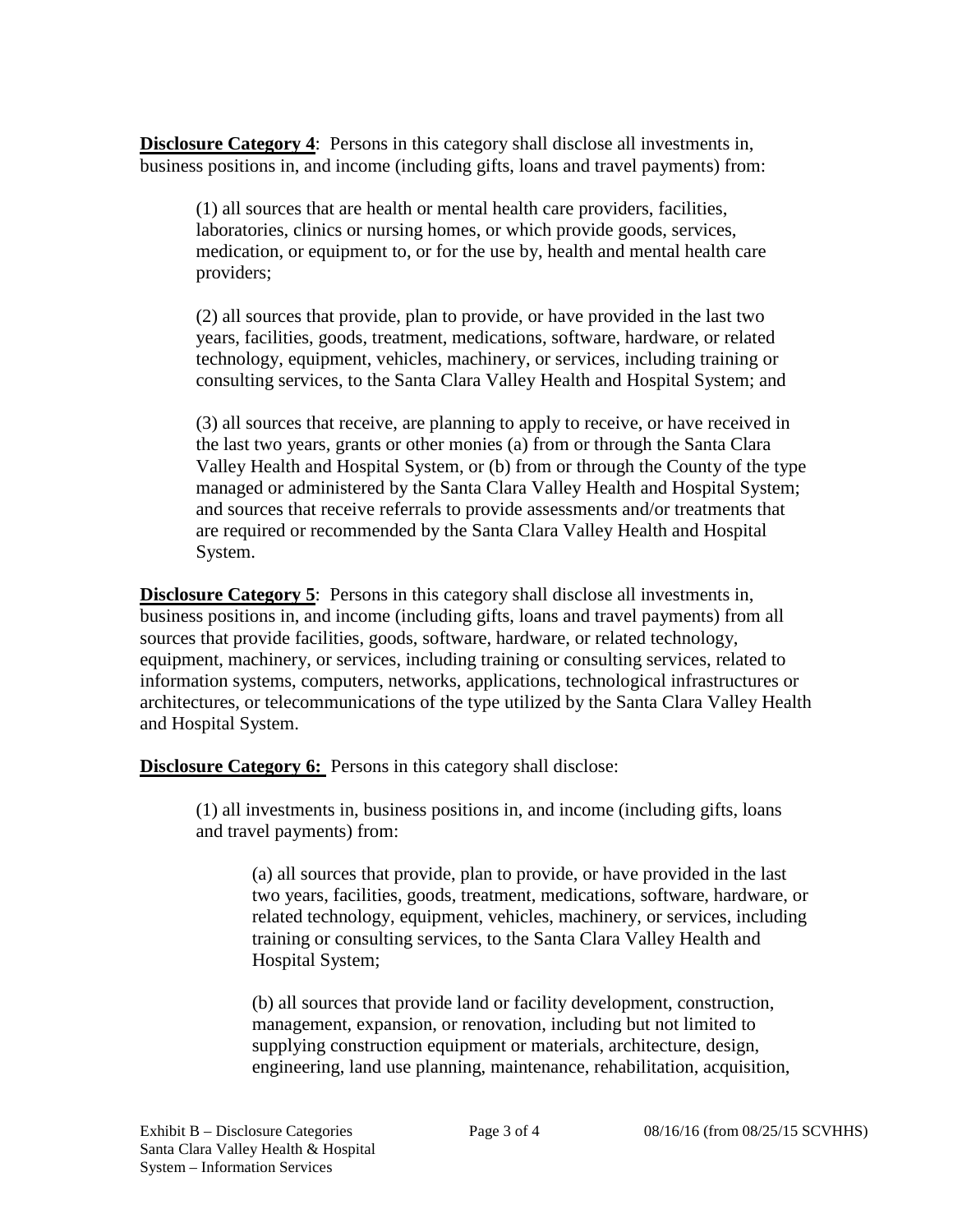**Disclosure Category 4:** Persons in this category shall disclose all investments in, business positions in, and income (including gifts, loans and travel payments) from:

(1) all sources that are health or mental health care providers, facilities, laboratories, clinics or nursing homes, or which provide goods, services, medication, or equipment to, or for the use by, health and mental health care providers;

(2) all sources that provide, plan to provide, or have provided in the last two years, facilities, goods, treatment, medications, software, hardware, or related technology, equipment, vehicles, machinery, or services, including training or consulting services, to the Santa Clara Valley Health and Hospital System; and

(3) all sources that receive, are planning to apply to receive, or have received in the last two years, grants or other monies (a) from or through the Santa Clara Valley Health and Hospital System, or (b) from or through the County of the type managed or administered by the Santa Clara Valley Health and Hospital System; and sources that receive referrals to provide assessments and/or treatments that are required or recommended by the Santa Clara Valley Health and Hospital System.

**Disclosure Category 5**: Persons in this category shall disclose all investments in, business positions in, and income (including gifts, loans and travel payments) from all sources that provide facilities, goods, software, hardware, or related technology, equipment, machinery, or services, including training or consulting services, related to information systems, computers, networks, applications, technological infrastructures or architectures, or telecommunications of the type utilized by the Santa Clara Valley Health and Hospital System.

**Disclosure Category 6:** Persons in this category shall disclose:

(1) all investments in, business positions in, and income (including gifts, loans and travel payments) from:

(a) all sources that provide, plan to provide, or have provided in the last two years, facilities, goods, treatment, medications, software, hardware, or related technology, equipment, vehicles, machinery, or services, including training or consulting services, to the Santa Clara Valley Health and Hospital System;

(b) all sources that provide land or facility development, construction, management, expansion, or renovation, including but not limited to supplying construction equipment or materials, architecture, design, engineering, land use planning, maintenance, rehabilitation, acquisition,